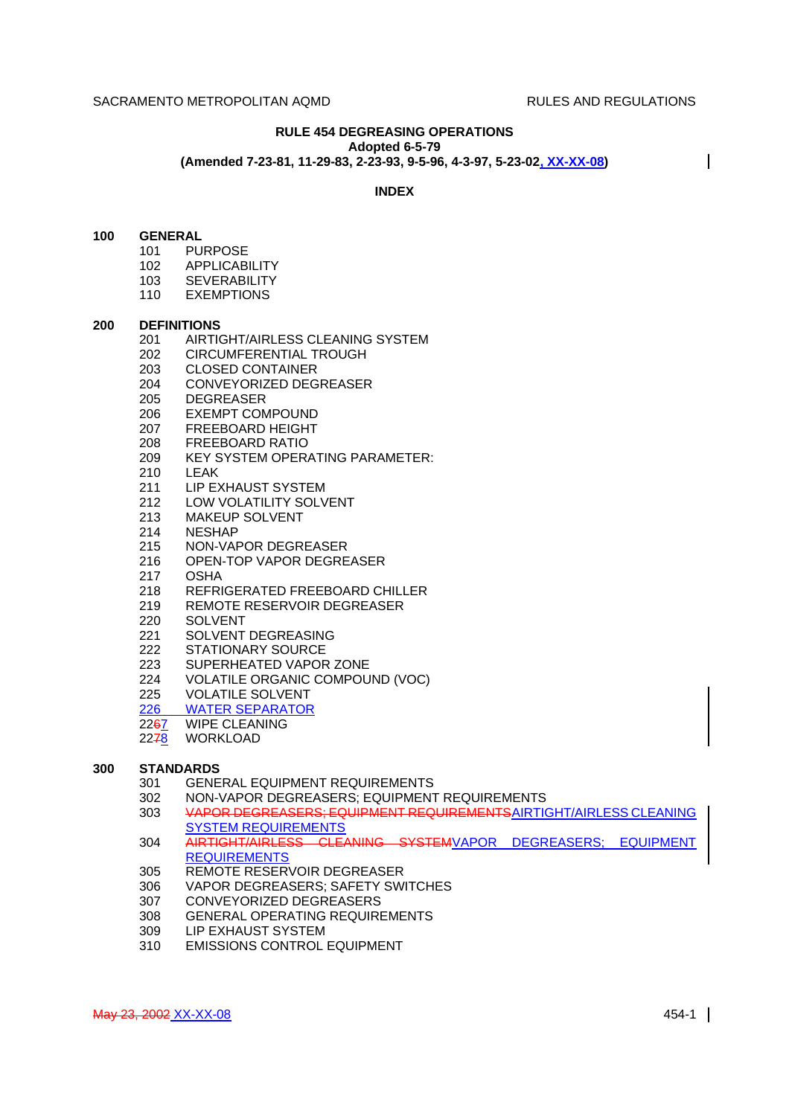#### **RULE 454 DEGREASING OPERATIONS Adopted 6-5-79**

**(Amended 7-23-81, 11-29-83, 2-23-93, 9-5-96, 4-3-97, 5-23-02, XX-XX-08)**

# **INDEX**

#### **100 GENERAL**

- 101 PURPOSE
- 102 APPLICABILITY
- 103 SEVERABILITY
- 110 EXEMPTIONS

#### **200 DEFINITIONS**

- 201 AIRTIGHT/AIRLESS CLEANING SYSTEM
- 202 CIRCUMFERENTIAL TROUGH
- 203 CLOSED CONTAINER
- 204 CONVEYORIZED DEGREASER
- 205 DEGREASER
- 206 EXEMPT COMPOUND
- 207 FREEBOARD HEIGHT
- 
- 208 FREEBOARD RATIO<br>209 KEY SYSTEM OPER KEY SYSTEM OPERATING PARAMETER:
- 210 LEAK
- 211 LIP EXHAUST SYSTEM
- 212 LOW VOLATILITY SOLVENT
- 213 MAKEUP SOLVENT
- 214 NESHAP
- 215 NON-VAPOR DEGREASER
- 216 OPEN-TOP VAPOR DEGREASER
- 217 OSHA
- 218 REFRIGERATED FREEBOARD CHILLER
- 219 REMOTE RESERVOIR DEGREASER
- 220 SOLVENT
- 221 SOLVENT DEGREASING
- 222 STATIONARY SOURCE
- 223 SUPERHEATED VAPOR ZONE
- 224 VOLATILE ORGANIC COMPOUND (VOC)
- 225 VOLATILE SOLVENT
- 
- 226 WATER SEPARATOR<br>22<del>6</del>7 WIPE CLEANING WIPE CLEANING
- 2278 WORKLOAD

# **300 STANDARDS**

- 301 GENERAL EQUIPMENT REQUIREMENTS
- 302 NON-VAPOR DEGREASERS; EQUIPMENT REQUIREMENTS<br>303 VAPOR DEGREASERS: EQUIPMENT REQUIREMENTSAIRTIO
- 303 VAPOR DEGREASERS; EQUIPMENT REQUIREMENTSAIRTIGHT/AIRLESS CLEANING SYSTEM REQUIREMENTS
- 304 AIRTIGHT/AIRLESS CLEANING SYSTEMVAPOR DEGREASERS; EQUIPMENT **REQUIREMENTS**
- 305 REMOTE RESERVOIR DEGREASER
- 306 VAPOR DEGREASERS; SAFETY SWITCHES
- 307 CONVEYORIZED DEGREASERS
- 308 GENERAL OPERATING REQUIREMENTS
- 309 LIP EXHAUST SYSTEM
- 310 EMISSIONS CONTROL EQUIPMENT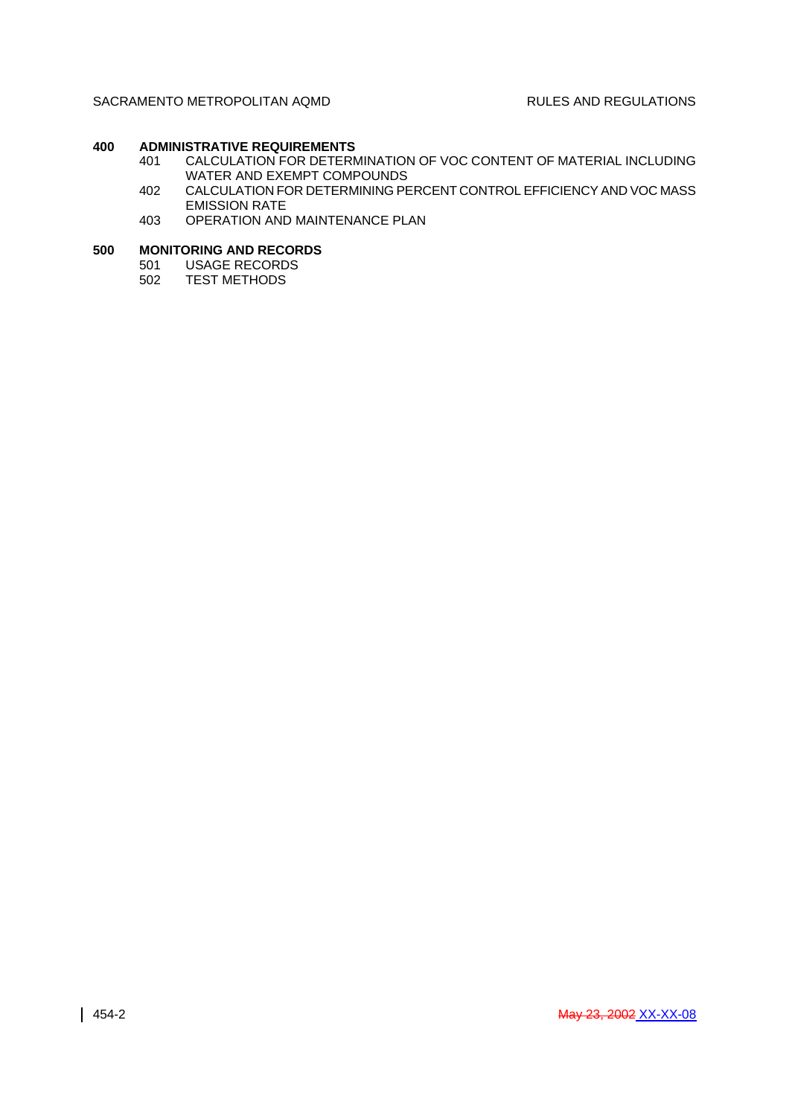# **400 ADMINISTRATIVE REQUIREMENTS**

- 401 CALCULATION FOR DETERMINATION OF VOC CONTENT OF MATERIAL INCLUDING WATER AND EXEMPT COMPOUNDS
- 402 CALCULATION FOR DETERMINING PERCENT CONTROL EFFICIENCY AND VOC MASS EMISSION RATE
- 403 OPERATION AND MAINTENANCE PLAN

# **500 MONITORING AND RECORDS**<br>501 USAGE RECORDS

- USAGE RECORDS
- 502 TEST METHODS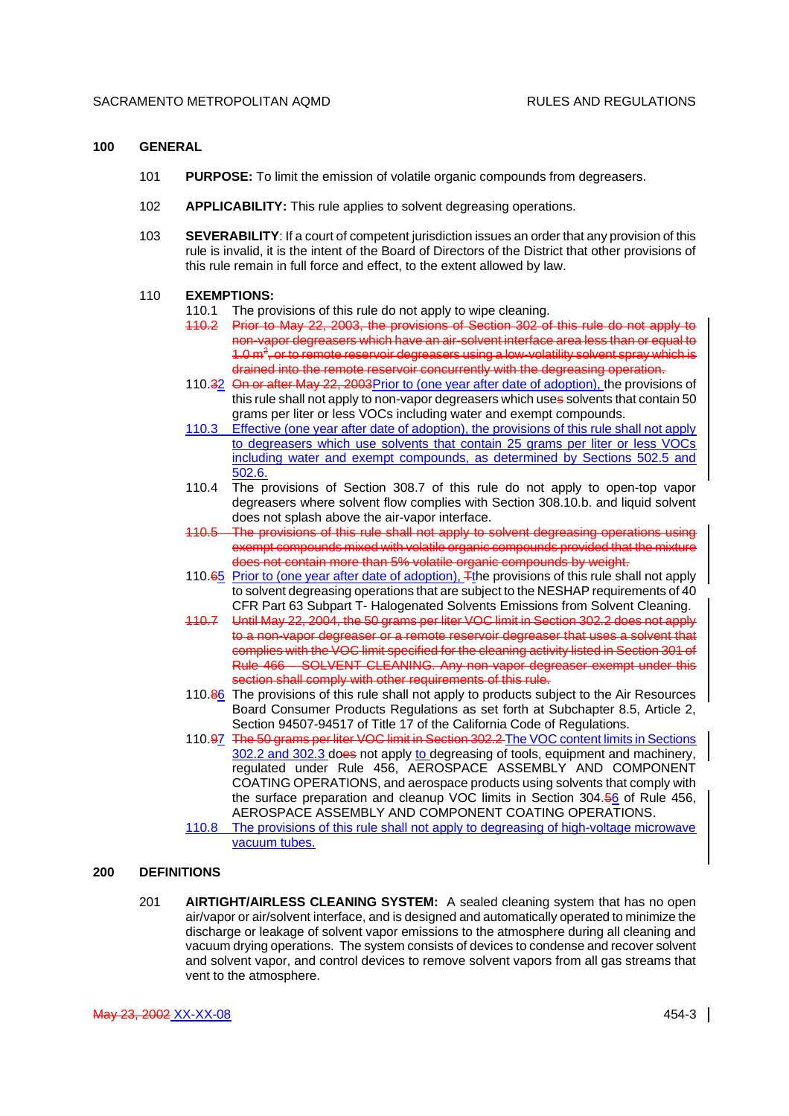#### **100 GENERAL**

- 101 **PURPOSE:** To limit the emission of volatile organic compounds from degreasers.
- 102 **APPLICABILITY:** This rule applies to solvent degreasing operations.
- 103 **SEVERABILITY**: If a court of competent jurisdiction issues an order that any provision of this rule is invalid, it is the intent of the Board of Directors of the District that other provisions of this rule remain in full force and effect, to the extent allowed by law.

#### 110 **EXEMPTIONS:**

- 110.1 The provisions of this rule do not apply to wipe cleaning.
- 110.2 Prior to May 22, 2003, the provisions of Section 302 of this rule do not apply to non-vapor degreasers which have an air-solvent interface area less than or equal to 1.0  $\text{m}^2$ , or to remote reservoir degreasers using a low-volatility solvent spray which is drained into the remote reservoir concurrently with the degreasing operation.
- 110.32 On or after May 22, 2003Prior to (one year after date of adoption), the provisions of this rule shall not apply to non-vapor degreasers which uses solvents that contain 50 grams per liter or less VOCs including water and exempt compounds.
- 110.3 Effective (one year after date of adoption), the provisions of this rule shall not apply to degreasers which use solvents that contain 25 grams per liter or less VOCs including water and exempt compounds, as determined by Sections 502.5 and 502.6.
- 110.4 The provisions of Section 308.7 of this rule do not apply to open-top vapor degreasers where solvent flow complies with Section 308.10.b. and liquid solvent does not splash above the air-vapor interface.
- 110.5 The provisions of this rule shall not apply to solvent degreasing operations using exempt compounds mixed with volatile organic compounds provided that the mixture does not contain more than 5% volatile organic compounds by weight.
- 110.65 Prior to (one year after date of adoption), Tthe provisions of this rule shall not apply to solvent degreasing operations that are subject to the NESHAP requirements of 40 CFR Part 63 Subpart T- Halogenated Solvents Emissions from Solvent Cleaning.
- 110.7 Until May 22, 2004, the 50 grams per liter VOC limit in Section 302.2 does not apply to a non-vapor degreaser or a remote reservoir degreaser that uses a solvent that complies with the VOC limit specified for the cleaning activity listed in Section 301 of Rule 466 – SOLVENT CLEANING. Any non-vapor degreaser exempt under this section shall comply with other requirements of this rule.
- 110.86 The provisions of this rule shall not apply to products subject to the Air Resources Board Consumer Products Regulations as set forth at Subchapter 8.5, Article 2, Section 94507-94517 of Title 17 of the California Code of Regulations.
- 110.97 The 50 grams per liter VOC limit in Section 302.2 The VOC content limits in Sections 302.2 and 302.3 does not apply to degreasing of tools, equipment and machinery, regulated under Rule 456, AEROSPACE ASSEMBLY AND COMPONENT COATING OPERATIONS, and aerospace products using solvents that comply with the surface preparation and cleanup VOC limits in Section 304.56 of Rule 456, AEROSPACE ASSEMBLY AND COMPONENT COATING OPERATIONS.
- 110.8 The provisions of this rule shall not apply to degreasing of high-voltage microwave vacuum tubes.

### **200 DEFINITIONS**

201 **AIRTIGHT/AIRLESS CLEANING SYSTEM:** A sealed cleaning system that has no open air/vapor or air/solvent interface, and is designed and automatically operated to minimize the discharge or leakage of solvent vapor emissions to the atmosphere during all cleaning and vacuum drying operations. The system consists of devices to condense and recover solvent and solvent vapor, and control devices to remove solvent vapors from all gas streams that vent to the atmosphere.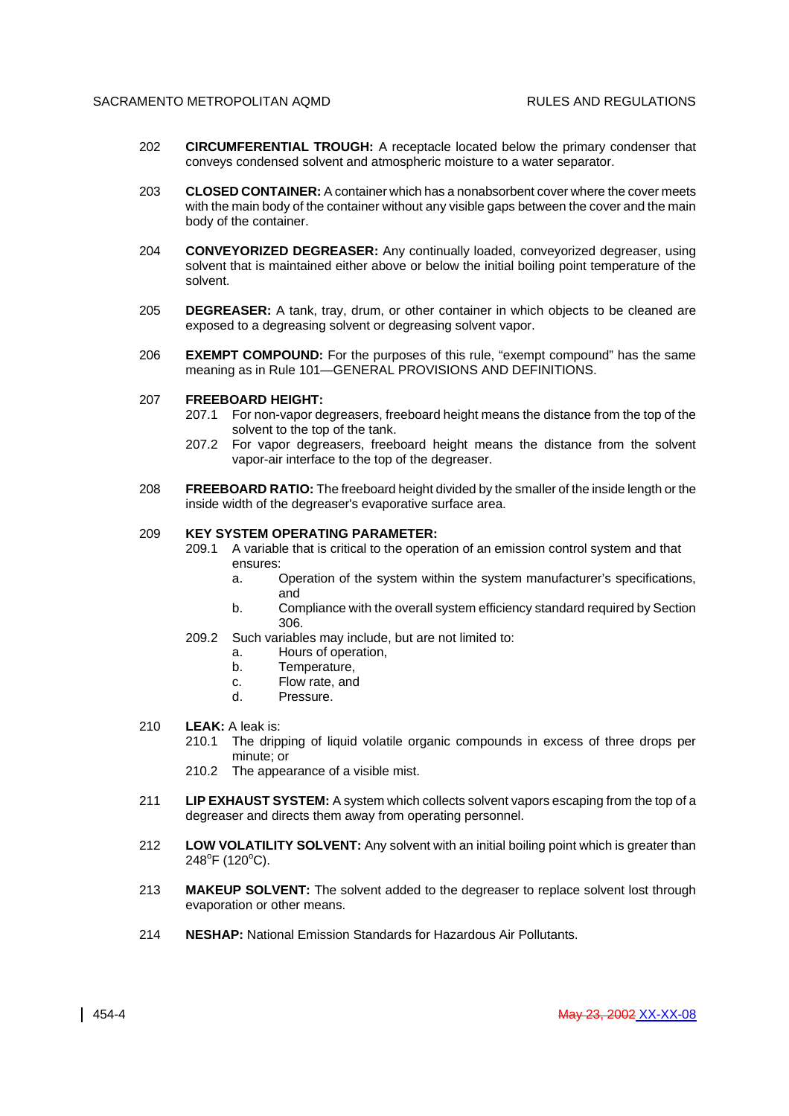- 202 **CIRCUMFERENTIAL TROUGH:** A receptacle located below the primary condenser that conveys condensed solvent and atmospheric moisture to a water separator.
- 203 **CLOSED CONTAINER:** A container which has a nonabsorbent cover where the cover meets with the main body of the container without any visible gaps between the cover and the main body of the container.
- 204 **CONVEYORIZED DEGREASER:** Any continually loaded, conveyorized degreaser, using solvent that is maintained either above or below the initial boiling point temperature of the solvent.
- 205 **DEGREASER:** A tank, tray, drum, or other container in which objects to be cleaned are exposed to a degreasing solvent or degreasing solvent vapor.
- 206 **EXEMPT COMPOUND:** For the purposes of this rule, "exempt compound" has the same meaning as in Rule 101—GENERAL PROVISIONS AND DEFINITIONS.

# 207 **FREEBOARD HEIGHT:**

- 207.1 For non-vapor degreasers, freeboard height means the distance from the top of the solvent to the top of the tank.
- 207.2 For vapor degreasers, freeboard height means the distance from the solvent vapor-air interface to the top of the degreaser.
- 208 **FREEBOARD RATIO:** The freeboard height divided by the smaller of the inside length or the inside width of the degreaser's evaporative surface area.

#### 209 **KEY SYSTEM OPERATING PARAMETER:**

- 209.1 A variable that is critical to the operation of an emission control system and that ensures:
	- a. Operation of the system within the system manufacturer's specifications, and
	- b. Compliance with the overall system efficiency standard required by Section 306.
- 209.2 Such variables may include, but are not limited to:
	- a. Hours of operation,
	- b. Temperature,
	- c. Flow rate, and
	- d. Pressure.

#### 210 **LEAK:** A leak is:

- 210.1 The dripping of liquid volatile organic compounds in excess of three drops per minute; or
- 210.2 The appearance of a visible mist.
- 211 **LIP EXHAUST SYSTEM:** A system which collects solvent vapors escaping from the top of a degreaser and directs them away from operating personnel.
- 212 **LOW VOLATILITY SOLVENT:** Any solvent with an initial boiling point which is greater than  $248^{\circ}$ F (120 $^{\circ}$ C).
- 213 **MAKEUP SOLVENT:** The solvent added to the degreaser to replace solvent lost through evaporation or other means.
- 214 **NESHAP:** National Emission Standards for Hazardous Air Pollutants.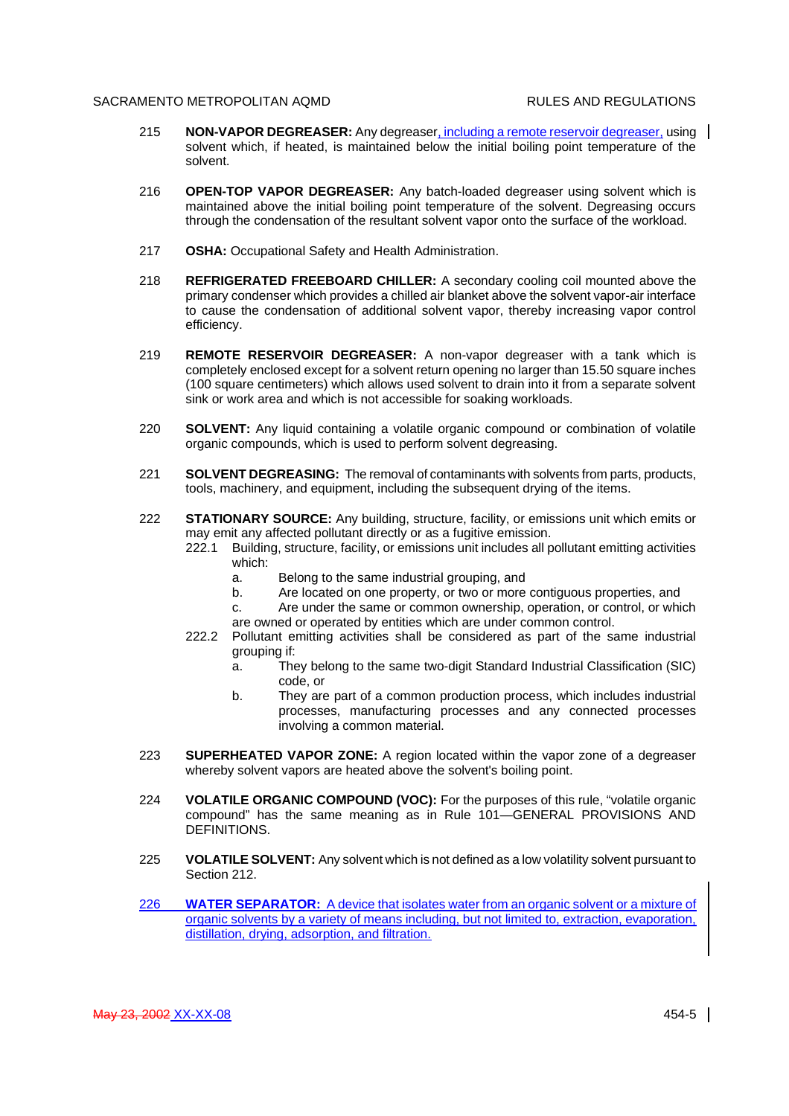- 215 **NON-VAPOR DEGREASER:** Any degreaser, including a remote reservoir degreaser, using solvent which, if heated, is maintained below the initial boiling point temperature of the solvent.
- 216 **OPEN-TOP VAPOR DEGREASER:** Any batch-loaded degreaser using solvent which is maintained above the initial boiling point temperature of the solvent. Degreasing occurs through the condensation of the resultant solvent vapor onto the surface of the workload.
- 217 **OSHA:** Occupational Safety and Health Administration.
- 218 **REFRIGERATED FREEBOARD CHILLER:** A secondary cooling coil mounted above the primary condenser which provides a chilled air blanket above the solvent vapor-air interface to cause the condensation of additional solvent vapor, thereby increasing vapor control efficiency.
- 219 **REMOTE RESERVOIR DEGREASER:** A non-vapor degreaser with a tank which is completely enclosed except for a solvent return opening no larger than 15.50 square inches (100 square centimeters) which allows used solvent to drain into it from a separate solvent sink or work area and which is not accessible for soaking workloads.
- 220 **SOLVENT:** Any liquid containing a volatile organic compound or combination of volatile organic compounds, which is used to perform solvent degreasing.
- 221 **SOLVENT DEGREASING:** The removal of contaminants with solvents from parts, products, tools, machinery, and equipment, including the subsequent drying of the items.
- 222 **STATIONARY SOURCE:** Any building, structure, facility, or emissions unit which emits or may emit any affected pollutant directly or as a fugitive emission.
	- 222.1 Building, structure, facility, or emissions unit includes all pollutant emitting activities which:
		- a. Belong to the same industrial grouping, and
		- b. Are located on one property, or two or more contiguous properties, and
		- c. Are under the same or common ownership, operation, or control, or which are owned or operated by entities which are under common control.
	- 222.2 Pollutant emitting activities shall be considered as part of the same industrial grouping if:
		- a. They belong to the same two-digit Standard Industrial Classification (SIC) code, or
		- b. They are part of a common production process, which includes industrial processes, manufacturing processes and any connected processes involving a common material.
- 223 **SUPERHEATED VAPOR ZONE:** A region located within the vapor zone of a degreaser whereby solvent vapors are heated above the solvent's boiling point.
- 224 **VOLATILE ORGANIC COMPOUND (VOC):** For the purposes of this rule, "volatile organic compound" has the same meaning as in Rule 101—GENERAL PROVISIONS AND DEFINITIONS.
- 225 **VOLATILE SOLVENT:** Any solvent which is not defined as a low volatility solvent pursuant to Section 212.
- 226 **WATER SEPARATOR:** A device that isolates water from an organic solvent or a mixture of organic solvents by a variety of means including, but not limited to, extraction, evaporation, distillation, drying, adsorption, and filtration.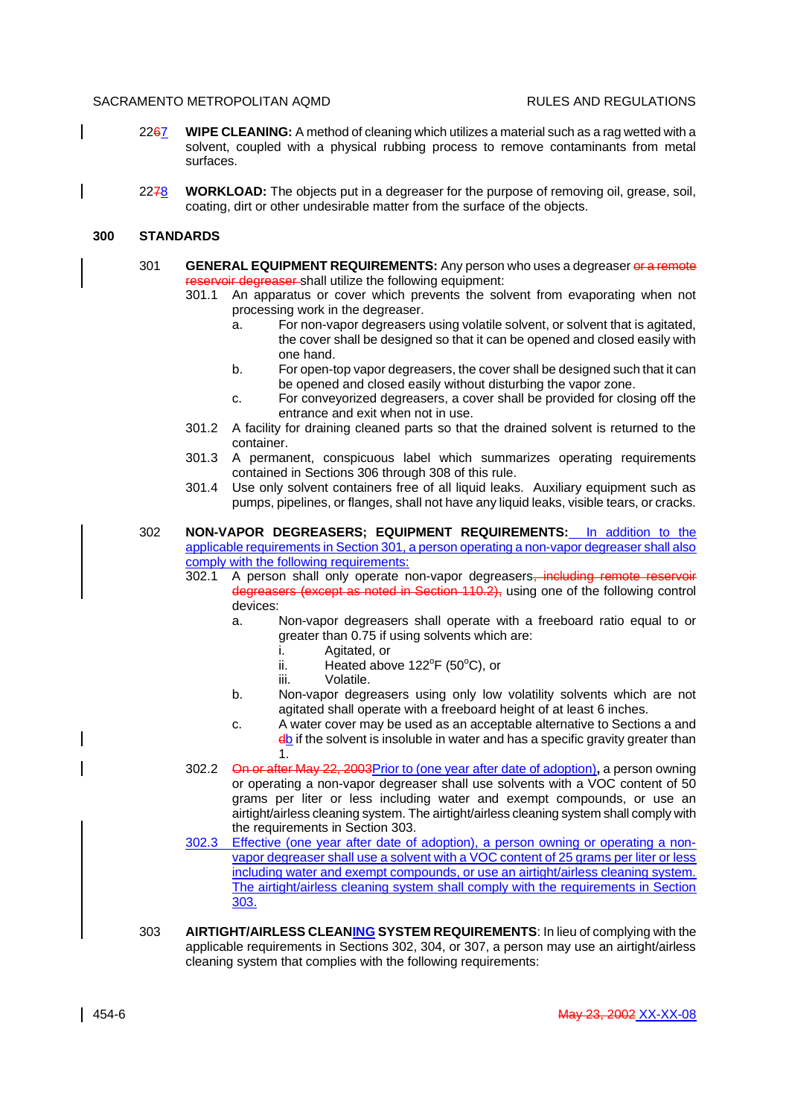- 2267 **WIPE CLEANING:** A method of cleaning which utilizes a material such as a rag wetted with a solvent, coupled with a physical rubbing process to remove contaminants from metal surfaces.
- 2278 **WORKLOAD:** The objects put in a degreaser for the purpose of removing oil, grease, soil, coating, dirt or other undesirable matter from the surface of the objects.

#### **300 STANDARDS**

- 301 **GENERAL EQUIPMENT REQUIREMENTS:** Any person who uses a degreaser or a remote reservoir degreaser shall utilize the following equipment:
	- 301.1 An apparatus or cover which prevents the solvent from evaporating when not processing work in the degreaser.
		- a. For non-vapor degreasers using volatile solvent, or solvent that is agitated, the cover shall be designed so that it can be opened and closed easily with one hand.
		- b. For open-top vapor degreasers, the cover shall be designed such that it can be opened and closed easily without disturbing the vapor zone.
		- c. For conveyorized degreasers, a cover shall be provided for closing off the entrance and exit when not in use.
	- 301.2 A facility for draining cleaned parts so that the drained solvent is returned to the container.
	- 301.3 A permanent, conspicuous label which summarizes operating requirements contained in Sections 306 through 308 of this rule.
	- 301.4 Use only solvent containers free of all liquid leaks. Auxiliary equipment such as pumps, pipelines, or flanges, shall not have any liquid leaks, visible tears, or cracks.
- 302 **NON-VAPOR DEGREASERS; EQUIPMENT REQUIREMENTS:** In addition to the applicable requirements in Section 301, a person operating a non-vapor degreaser shall also comply with the following requirements:
	- 302.1 A person shall only operate non-vapor degreasers, including remote reservoir degreasers (except as noted in Section 110.2), using one of the following control devices:
		- a. Non-vapor degreasers shall operate with a freeboard ratio equal to or greater than 0.75 if using solvents which are:
			- i. Agitated, or
			- ii. Heated above  $122^{\circ}F$  (50 $^{\circ}C$ ), or
			- iii. Volatile.
		- b. Non-vapor degreasers using only low volatility solvents which are not agitated shall operate with a freeboard height of at least 6 inches.
		- c. A water cover may be used as an acceptable alternative to Sections a and  $\frac{d}{dx}$  if the solvent is insoluble in water and has a specific gravity greater than 1.
	- 302.2 On or after May 22, 2003Prior to (one year after date of adoption)**,** a person owning or operating a non-vapor degreaser shall use solvents with a VOC content of 50 grams per liter or less including water and exempt compounds, or use an airtight/airless cleaning system. The airtight/airless cleaning system shall comply with the requirements in Section 303.
	- 302.3 Effective (one year after date of adoption), a person owning or operating a nonvapor degreaser shall use a solvent with a VOC content of 25 grams per liter or less including water and exempt compounds, or use an airtight/airless cleaning system. The airtight/airless cleaning system shall comply with the requirements in Section 303.
- 303 **AIRTIGHT/AIRLESS CLEANING SYSTEM REQUIREMENTS**: In lieu of complying with the applicable requirements in Sections 302, 304, or 307, a person may use an airtight/airless cleaning system that complies with the following requirements: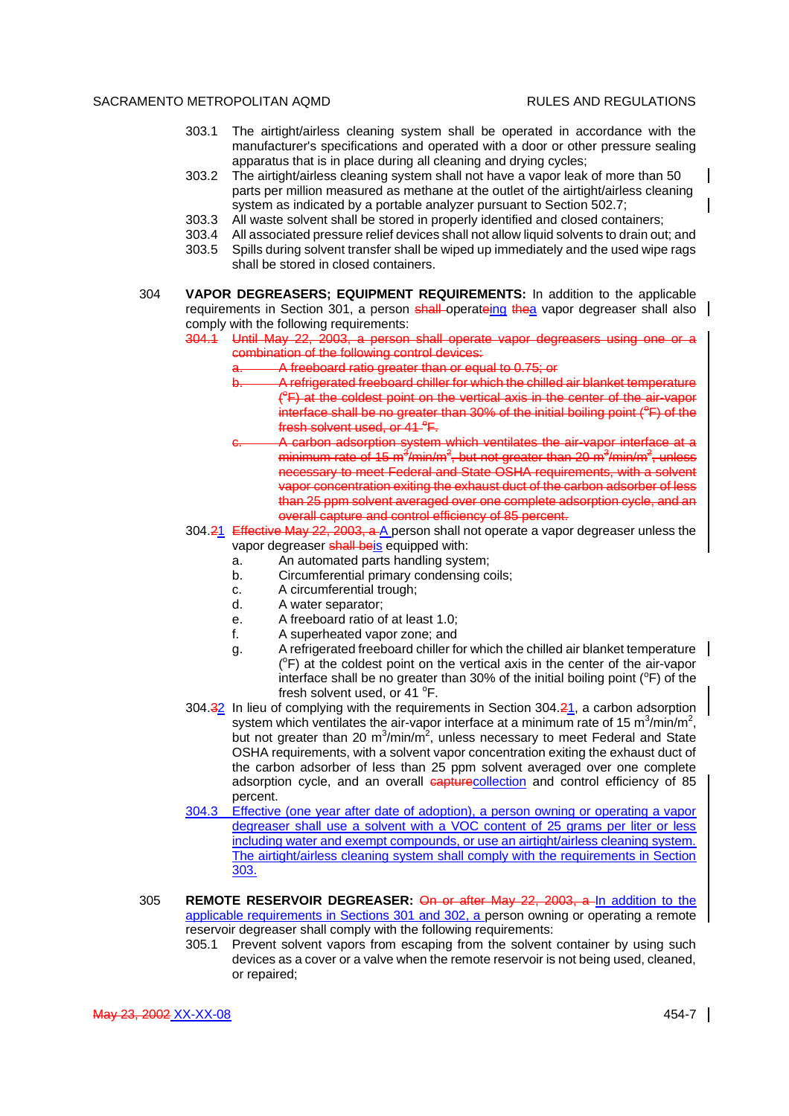- 303.1 The airtight/airless cleaning system shall be operated in accordance with the manufacturer's specifications and operated with a door or other pressure sealing apparatus that is in place during all cleaning and drying cycles;
- 303.2 The airtight/airless cleaning system shall not have a vapor leak of more than 50 parts per million measured as methane at the outlet of the airtight/airless cleaning system as indicated by a portable analyzer pursuant to Section 502.7;
- 303.3 All waste solvent shall be stored in properly identified and closed containers;
- 303.4 All associated pressure relief devices shall not allow liquid solvents to drain out; and
- 303.5 Spills during solvent transfer shall be wiped up immediately and the used wipe rags shall be stored in closed containers.
- 304 **VAPOR DEGREASERS; EQUIPMENT REQUIREMENTS:** In addition to the applicable requirements in Section 301, a person shall operateing thea vapor degreaser shall also comply with the following requirements:
	- 304.1 Until May 22, 2003, a person shall operate vapor degreasers using combination of the following control devices:
		- a. A freeboard ratio greater than or equal to 0.75; or
			- A refrigerated freeboard chiller for which the chilled air blanket temperature (<sup>e</sup>F) at the coldest point on the vertical axis in the center of the air-vapor  $in$  interface shall be no greater than 30% of the initial boiling point ( $\textdegree$ F) of the fresh solvent used, or  $41^{\circ}$ F.
		- A carbon adsorption system which ventilates the air-vapor interface at a minimum rate of 15 m<sup>3</sup>/min/m<sup>2</sup>, but not greater than 20 m<sup>3</sup>/min/m<sup>2</sup>, unless necessary to meet Federal and State OSHA requirements, with a solvent vapor concentration exiting the exhaust duct of the carbon adsorber of less than 25 ppm solvent averaged over one complete adsorption cycle, and an overall capture and control efficiency of 85 percent.
	- 304.21 Effective May 22, 2003, a A person shall not operate a vapor degreaser unless the vapor degreaser shall beis equipped with:
		- a. An automated parts handling system;
		- b. Circumferential primary condensing coils;
		- c. A circumferential trough;
		- d. A water separator;
		- e. A freeboard ratio of at least 1.0;
		- f. A superheated vapor zone; and
		- g. A refrigerated freeboard chiller for which the chilled air blanket temperature (<sup>o</sup>F) at the coldest point on the vertical axis in the center of the air-vapor interface shall be no greater than 30% of the initial boiling point ( $\degree$ F) of the fresh solvent used, or  $41^{\circ}$ F.
	- 304.32 In lieu of complying with the requirements in Section 304.21, a carbon adsorption system which ventilates the air-vapor interface at a minimum rate of 15 m<sup>3</sup>/min/m<sup>2</sup>, but not greater than 20  $m^3/m$ in/ $m^2$ , unless necessary to meet Federal and State OSHA requirements, with a solvent vapor concentration exiting the exhaust duct of the carbon adsorber of less than 25 ppm solvent averaged over one complete adsorption cycle, and an overall entertablection and control efficiency of 85 percent.
	- 304.3 Effective (one year after date of adoption), a person owning or operating a vapor degreaser shall use a solvent with a VOC content of 25 grams per liter or less including water and exempt compounds, or use an airtight/airless cleaning system. The airtight/airless cleaning system shall comply with the requirements in Section 303.
- 305 **REMOTE RESERVOIR DEGREASER:** On or after May 22, 2003, a In addition to the applicable requirements in Sections 301 and 302, a person owning or operating a remote reservoir degreaser shall comply with the following requirements:
	- 305.1 Prevent solvent vapors from escaping from the solvent container by using such devices as a cover or a valve when the remote reservoir is not being used, cleaned, or repaired;

May 23, 2002 XX-XX-08 454-7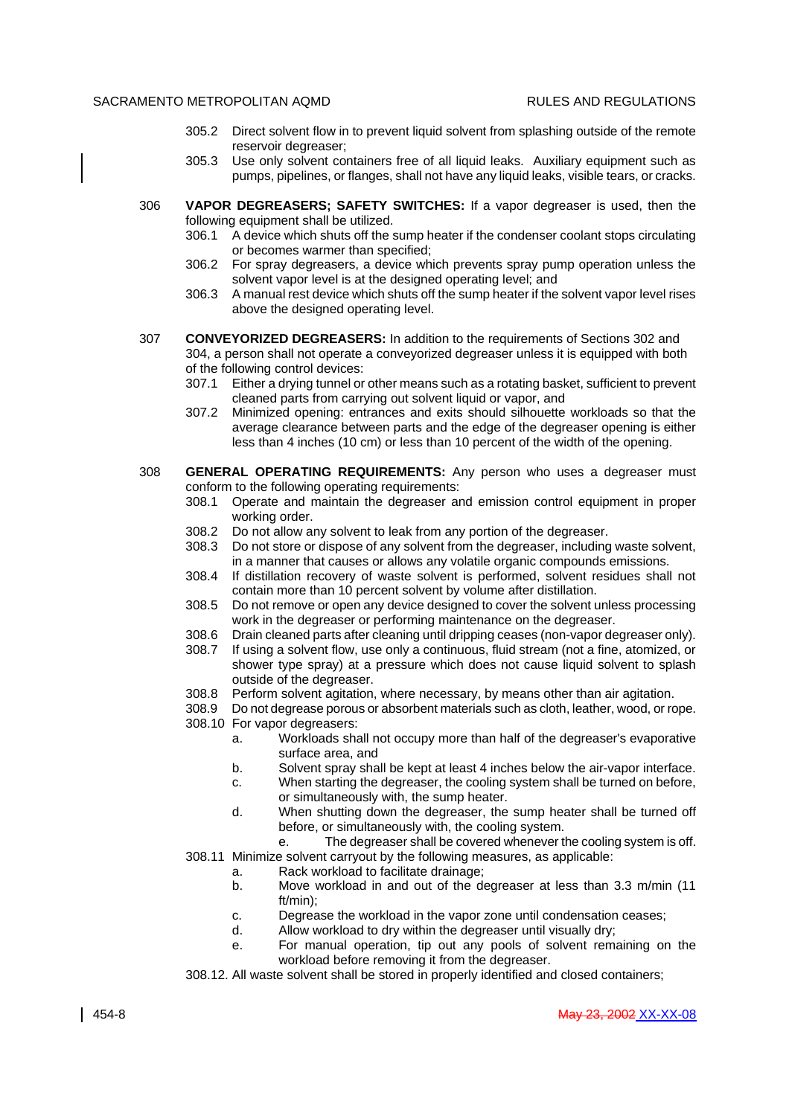- 305.2 Direct solvent flow in to prevent liquid solvent from splashing outside of the remote reservoir degreaser;
- 305.3 Use only solvent containers free of all liquid leaks. Auxiliary equipment such as pumps, pipelines, or flanges, shall not have any liquid leaks, visible tears, or cracks.
- 306 **VAPOR DEGREASERS; SAFETY SWITCHES:** If a vapor degreaser is used, then the following equipment shall be utilized.
	- 306.1 A device which shuts off the sump heater if the condenser coolant stops circulating or becomes warmer than specified;
	- 306.2 For spray degreasers, a device which prevents spray pump operation unless the solvent vapor level is at the designed operating level; and
	- 306.3 A manual rest device which shuts off the sump heater if the solvent vapor level rises above the designed operating level.
- 307 **CONVEYORIZED DEGREASERS:** In addition to the requirements of Sections 302 and 304, a person shall not operate a conveyorized degreaser unless it is equipped with both of the following control devices:
	- 307.1 Either a drying tunnel or other means such as a rotating basket, sufficient to prevent cleaned parts from carrying out solvent liquid or vapor, and
	- 307.2 Minimized opening: entrances and exits should silhouette workloads so that the average clearance between parts and the edge of the degreaser opening is either less than 4 inches (10 cm) or less than 10 percent of the width of the opening.
- 308 **GENERAL OPERATING REQUIREMENTS:** Any person who uses a degreaser must conform to the following operating requirements:
	- 308.1 Operate and maintain the degreaser and emission control equipment in proper working order.
	- 308.2 Do not allow any solvent to leak from any portion of the degreaser.
	- 308.3 Do not store or dispose of any solvent from the degreaser, including waste solvent, in a manner that causes or allows any volatile organic compounds emissions.
	- 308.4 If distillation recovery of waste solvent is performed, solvent residues shall not contain more than 10 percent solvent by volume after distillation.
	- 308.5 Do not remove or open any device designed to cover the solvent unless processing work in the degreaser or performing maintenance on the degreaser.
	- 308.6 Drain cleaned parts after cleaning until dripping ceases (non-vapor degreaser only).
	- 308.7 If using a solvent flow, use only a continuous, fluid stream (not a fine, atomized, or shower type spray) at a pressure which does not cause liquid solvent to splash outside of the degreaser.
	- 308.8 Perform solvent agitation, where necessary, by means other than air agitation.
	- 308.9 Do not degrease porous or absorbent materials such as cloth, leather, wood, or rope. 308.10 For vapor degreasers:
		- a. Workloads shall not occupy more than half of the degreaser's evaporative surface area, and
		- b. Solvent spray shall be kept at least 4 inches below the air-vapor interface.
		- c. When starting the degreaser, the cooling system shall be turned on before, or simultaneously with, the sump heater.
		- d. When shutting down the degreaser, the sump heater shall be turned off before, or simultaneously with, the cooling system.
		- e. The degreaser shall be covered whenever the cooling system is off.
	- 308.11 Minimize solvent carryout by the following measures, as applicable:
		- a. Rack workload to facilitate drainage;
		- b. Move workload in and out of the degreaser at less than 3.3 m/min (11 ft/min);
		- c. Degrease the workload in the vapor zone until condensation ceases;
		- d. Allow workload to dry within the degreaser until visually dry;
		- e. For manual operation, tip out any pools of solvent remaining on the workload before removing it from the degreaser.
	- 308.12. All waste solvent shall be stored in properly identified and closed containers;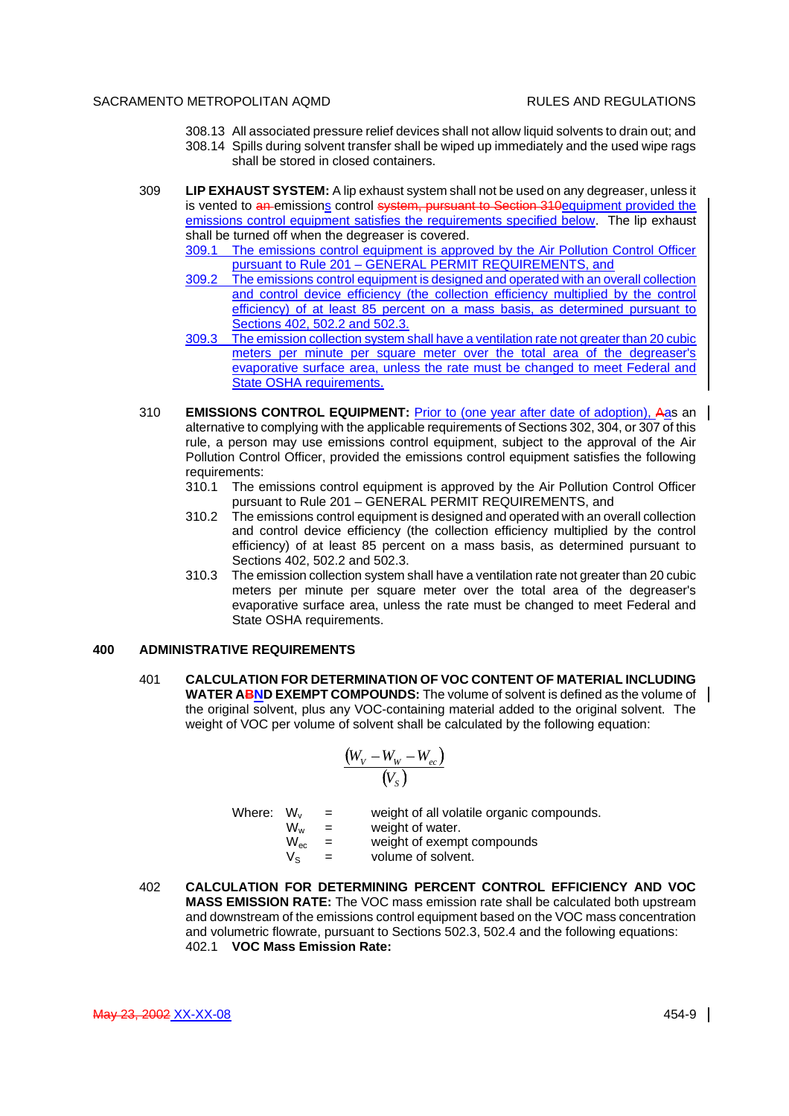- 308.13 All associated pressure relief devices shall not allow liquid solvents to drain out; and
- 308.14 Spills during solvent transfer shall be wiped up immediately and the used wipe rags shall be stored in closed containers.
- 309 **LIP EXHAUST SYSTEM:** A lip exhaust system shall not be used on any degreaser, unless it is vented to an emissions control system, pursuant to Section 310equipment provided the emissions control equipment satisfies the requirements specified below. The lip exhaust shall be turned off when the degreaser is covered.
	- 309.1 The emissions control equipment is approved by the Air Pollution Control Officer pursuant to Rule 201 – GENERAL PERMIT REQUIREMENTS, and
	- 309.2 The emissions control equipment is designed and operated with an overall collection and control device efficiency (the collection efficiency multiplied by the control efficiency) of at least 85 percent on a mass basis, as determined pursuant to Sections 402, 502.2 and 502.3.
	- 309.3 The emission collection system shall have a ventilation rate not greater than 20 cubic meters per minute per square meter over the total area of the degreaser's evaporative surface area, unless the rate must be changed to meet Federal and State OSHA requirements.
- 310 **EMISSIONS CONTROL EQUIPMENT:** Prior to (one year after date of adoption), Aas an alternative to complying with the applicable requirements of Sections 302, 304, or 307 of this rule, a person may use emissions control equipment, subject to the approval of the Air Pollution Control Officer, provided the emissions control equipment satisfies the following requirements:
	- 310.1 The emissions control equipment is approved by the Air Pollution Control Officer pursuant to Rule 201 – GENERAL PERMIT REQUIREMENTS, and
	- 310.2 The emissions control equipment is designed and operated with an overall collection and control device efficiency (the collection efficiency multiplied by the control efficiency) of at least 85 percent on a mass basis, as determined pursuant to Sections 402, 502.2 and 502.3.
	- 310.3 The emission collection system shall have a ventilation rate not greater than 20 cubic meters per minute per square meter over the total area of the degreaser's evaporative surface area, unless the rate must be changed to meet Federal and State OSHA requirements.

# **400 ADMINISTRATIVE REQUIREMENTS**

401 **CALCULATION FOR DETERMINATION OF VOC CONTENT OF MATERIAL INCLUDING WATER ABND EXEMPT COMPOUNDS:** The volume of solvent is defined as the volume of  $\parallel$ the original solvent, plus any VOC-containing material added to the original solvent. The weight of VOC per volume of solvent shall be calculated by the following equation:

$$
\frac{(W_V - W_W - W_{ec})}{(V_s)}
$$

- Where:  $W_v$  = weight of all volatile organic compounds.<br> $W_w$  = weight of water.
	- $W_w$  = weight of water.<br> $W_{\text{ec}}$  = weight of exemp  $=$  weight of exempt compounds
	- $V_{\rm s}$  = volume of solvent.
- 402 **CALCULATION FOR DETERMINING PERCENT CONTROL EFFICIENCY AND VOC MASS EMISSION RATE:** The VOC mass emission rate shall be calculated both upstream and downstream of the emissions control equipment based on the VOC mass concentration and volumetric flowrate, pursuant to Sections 502.3, 502.4 and the following equations: 402.1 **VOC Mass Emission Rate:**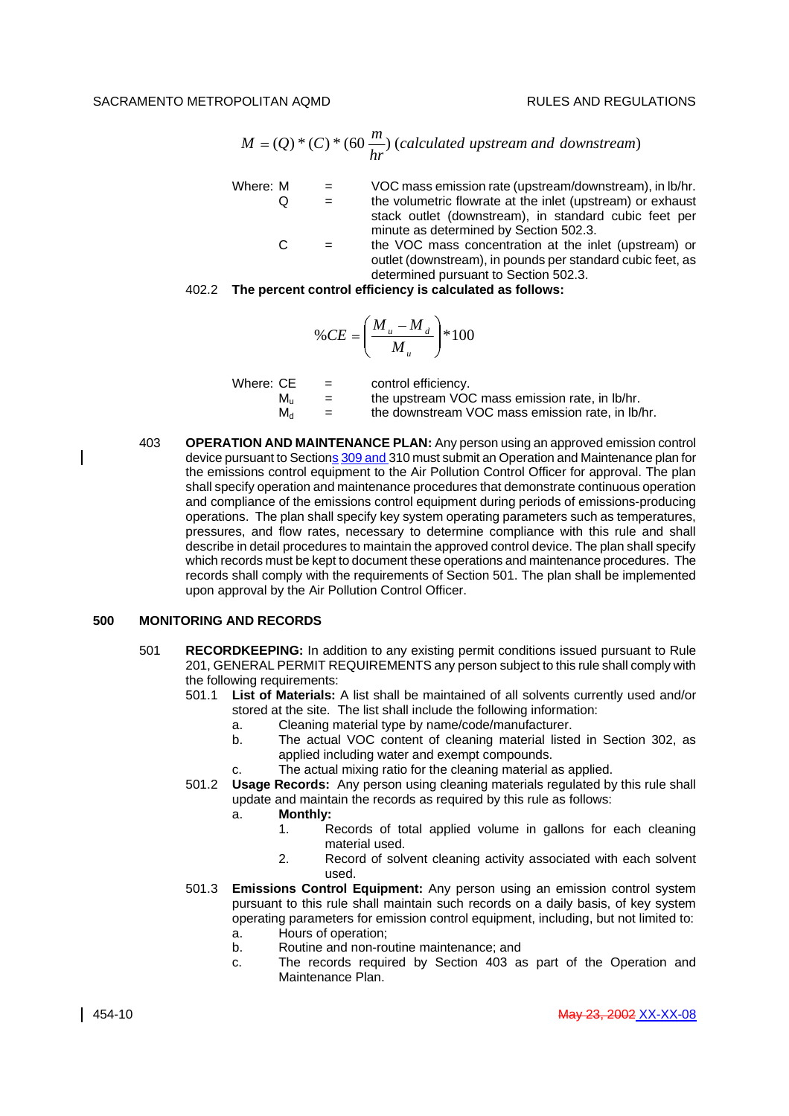$$
M = (Q) * (C) * (60 \frac{m}{hr})
$$
 (calculated upstream and downstream)

- Where:  $M = VOC$  mass emission rate (upstream/downstream), in lb/hr.  $Q =$  the volumetric flowrate at the inlet (upstream) or exhaust stack outlet (downstream), in standard cubic feet per minute as determined by Section 502.3.
	- $C =$  the VOC mass concentration at the inlet (upstream) or outlet (downstream), in pounds per standard cubic feet, as determined pursuant to Section 502.3.

### 402.2 **The percent control efficiency is calculated as follows:**

$$
\%CE = \left(\frac{M_u - M_d}{M_u}\right) * 100
$$

| Where: CE   | $=$ | control efficiency.                              |
|-------------|-----|--------------------------------------------------|
| M.          | $=$ | the upstream VOC mass emission rate, in Ib/hr.   |
| $M_{\rm d}$ | $=$ | the downstream VOC mass emission rate, in lb/hr. |

403 **OPERATION AND MAINTENANCE PLAN:** Any person using an approved emission control device pursuant to Sections 309 and 310 must submit an Operation and Maintenance plan for the emissions control equipment to the Air Pollution Control Officer for approval. The plan shall specify operation and maintenance procedures that demonstrate continuous operation and compliance of the emissions control equipment during periods of emissions-producing operations. The plan shall specify key system operating parameters such as temperatures, pressures, and flow rates, necessary to determine compliance with this rule and shall describe in detail procedures to maintain the approved control device. The plan shall specify which records must be kept to document these operations and maintenance procedures. The records shall comply with the requirements of Section 501. The plan shall be implemented upon approval by the Air Pollution Control Officer.

#### **500 MONITORING AND RECORDS**

- 501 **RECORDKEEPING:** In addition to any existing permit conditions issued pursuant to Rule 201, GENERAL PERMIT REQUIREMENTS any person subject to this rule shall comply with the following requirements:
	- 501.1 **List of Materials:** A list shall be maintained of all solvents currently used and/or stored at the site. The list shall include the following information:
		- a. Cleaning material type by name/code/manufacturer.
		- b. The actual VOC content of cleaning material listed in Section 302, as applied including water and exempt compounds.
		- c. The actual mixing ratio for the cleaning material as applied.
	- 501.2 **Usage Records:** Any person using cleaning materials regulated by this rule shall update and maintain the records as required by this rule as follows:
		- a. **Monthly:**
			- 1. Records of total applied volume in gallons for each cleaning material used.
			- 2. Record of solvent cleaning activity associated with each solvent used.
	- 501.3 **Emissions Control Equipment:** Any person using an emission control system pursuant to this rule shall maintain such records on a daily basis, of key system operating parameters for emission control equipment, including, but not limited to:
		- a. Hours of operation;
		- b. Routine and non-routine maintenance; and
		- c. The records required by Section 403 as part of the Operation and Maintenance Plan.